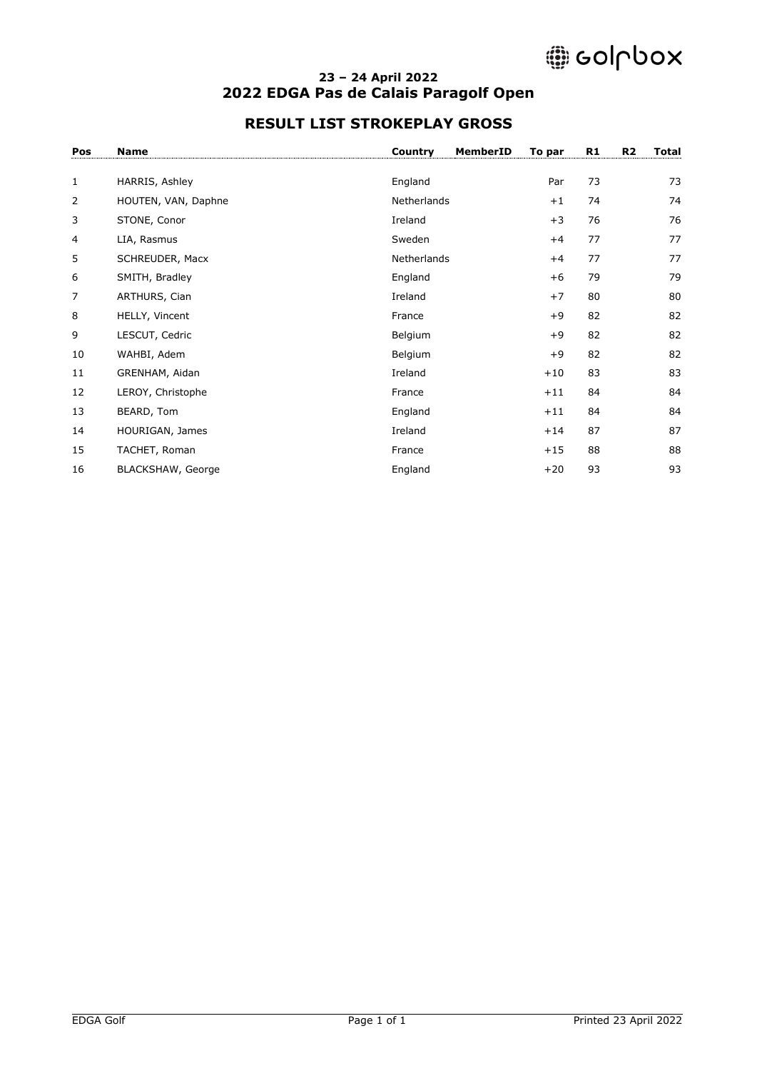# @ colpbox

#### **– 24 April 2022 2022 EDGA Pas de Calais Paragolf Open**

### **RESULT LIST STROKEPLAY GROSS**

| Pos          | <b>Name</b>         | MemberID<br>Country | To par | R1 | R <sub>2</sub> | <b>Total</b> |
|--------------|---------------------|---------------------|--------|----|----------------|--------------|
| $\mathbf{1}$ | HARRIS, Ashley      | England             | Par    | 73 |                | 73           |
| 2            | HOUTEN, VAN, Daphne | Netherlands         | $+1$   | 74 |                | 74           |
| 3            | STONE, Conor        | Ireland             | $+3$   | 76 |                | 76           |
| 4            | LIA, Rasmus         | Sweden              | $+4$   | 77 |                | 77           |
| 5            | SCHREUDER, Macx     | Netherlands         | $+4$   | 77 |                | 77           |
| 6            | SMITH, Bradley      | England             | $+6$   | 79 |                | 79           |
| 7            | ARTHURS, Cian       | Ireland             | $+7$   | 80 |                | 80           |
| 8            | HELLY, Vincent      | France              | $+9$   | 82 |                | 82           |
| 9            | LESCUT, Cedric      | Belgium             | $+9$   | 82 |                | 82           |
| 10           | WAHBI, Adem         | Belgium             | $+9$   | 82 |                | 82           |
| 11           | GRENHAM, Aidan      | Ireland             | $+10$  | 83 |                | 83           |
| 12           | LEROY, Christophe   | France              | $+11$  | 84 |                | 84           |
| 13           | BEARD, Tom          | England             | $+11$  | 84 |                | 84           |
| 14           | HOURIGAN, James     | Ireland             | $+14$  | 87 |                | 87           |
| 15           | TACHET, Roman       | France              | $+15$  | 88 |                | 88           |
| 16           | BLACKSHAW, George   | England             | $+20$  | 93 |                | 93           |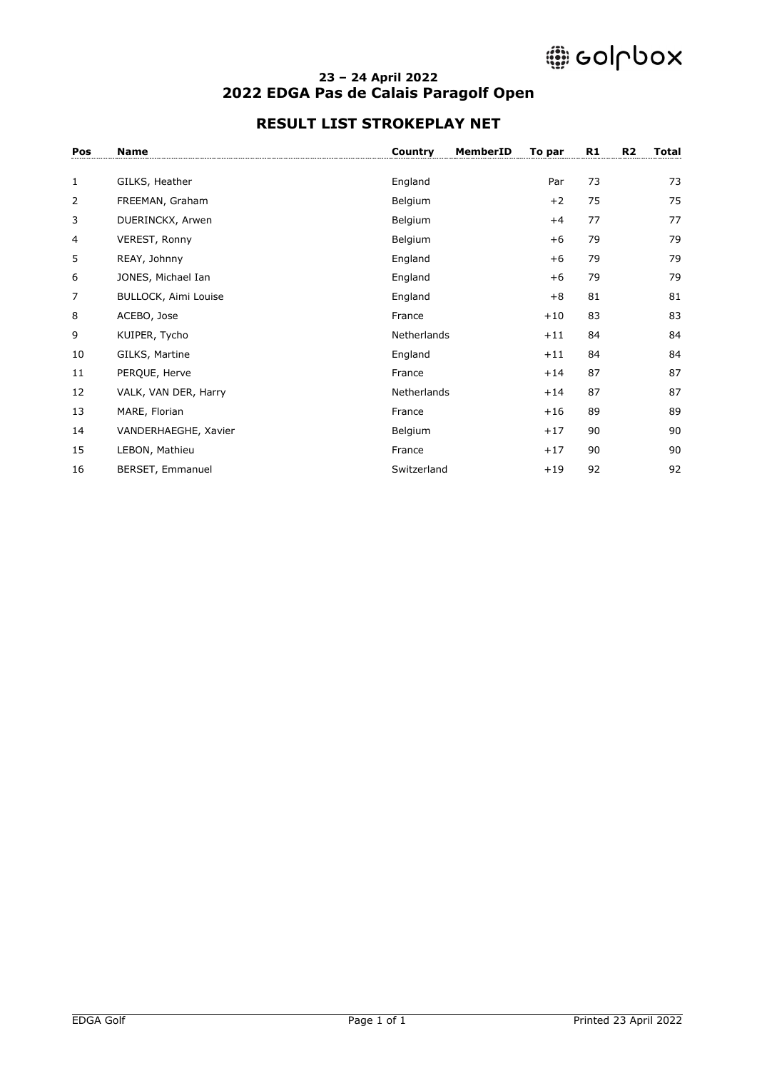# @ colpbox

#### **– 24 April 2022 2022 EDGA Pas de Calais Paragolf Open**

### **RESULT LIST STROKEPLAY NET**

| Pos | <b>Name</b>          | Country     | MemberID | To par | R1 | R <sub>2</sub> | Total |
|-----|----------------------|-------------|----------|--------|----|----------------|-------|
|     |                      |             |          |        |    |                |       |
| 1   | GILKS, Heather       | England     |          | Par    | 73 |                | 73    |
| 2   | FREEMAN, Graham      | Belgium     |          | $+2$   | 75 |                | 75    |
| 3   | DUERINCKX, Arwen     | Belgium     |          | $+4$   | 77 |                | 77    |
| 4   | VEREST, Ronny        | Belgium     |          | $+6$   | 79 |                | 79    |
| 5   | REAY, Johnny         | England     |          | $+6$   | 79 |                | 79    |
| 6   | JONES, Michael Ian   | England     |          | $+6$   | 79 |                | 79    |
| 7   | BULLOCK, Aimi Louise | England     |          | $+8$   | 81 |                | 81    |
| 8   | ACEBO, Jose          | France      |          | $+10$  | 83 |                | 83    |
| 9   | KUIPER, Tycho        | Netherlands |          | $+11$  | 84 |                | 84    |
| 10  | GILKS, Martine       | England     |          | $+11$  | 84 |                | 84    |
| 11  | PERQUE, Herve        | France      |          | $+14$  | 87 |                | 87    |
| 12  | VALK, VAN DER, Harry | Netherlands |          | $+14$  | 87 |                | 87    |
| 13  | MARE, Florian        | France      |          | $+16$  | 89 |                | 89    |
| 14  | VANDERHAEGHE, Xavier | Belgium     |          | $+17$  | 90 |                | 90    |
| 15  | LEBON, Mathieu       | France      |          | $+17$  | 90 |                | 90    |
| 16  | BERSET, Emmanuel     | Switzerland |          | $+19$  | 92 |                | 92    |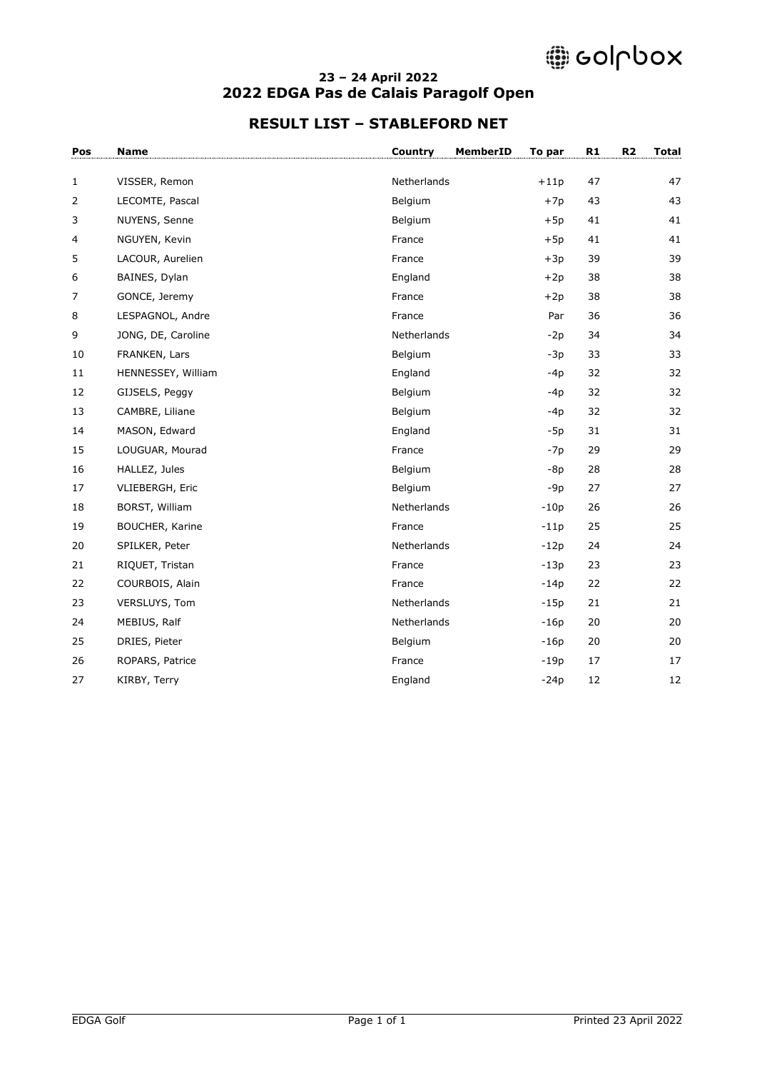# @ colpbox

#### **– 24 April 2022 2022 EDGA Pas de Calais Paragolf Open**

### **RESULT LIST – STABLEFORD NET**

| Pos          | <b>Name</b>            | Country     | MemberID<br>To par | R1     | R <sub>2</sub> | <b>Total</b> |
|--------------|------------------------|-------------|--------------------|--------|----------------|--------------|
| $\mathbf{1}$ | VISSER, Remon          | Netherlands | $+11p$             | 47     |                | 47           |
| 2            | LECOMTE, Pascal        | Belgium     | $+7p$              | 43     |                | 43           |
| 3            | NUYENS, Senne          | Belgium     | $+5p$              | 41     |                | 41           |
| 4            | NGUYEN, Kevin          | France      | $+5p$              | 41     |                | 41           |
| 5            | LACOUR, Aurelien       | France      | $+3p$              | 39     |                | 39           |
| 6            | BAINES, Dylan          | England     | $+2p$              | 38     |                | 38           |
| 7            | GONCE, Jeremy          | France      | $+2p$              | 38     |                | 38           |
| 8            | LESPAGNOL, Andre       | France      | Par                | 36     |                | 36           |
| 9            | JONG, DE, Caroline     | Netherlands | $-2p$              | 34     |                | 34           |
| 10           | FRANKEN, Lars          | Belgium     | $-3p$              | 33     |                | 33           |
| 11           | HENNESSEY, William     | England     | $-4p$              | 32     |                | 32           |
| 12           | GIJSELS, Peggy         | Belgium     | $-4p$              | 32     |                | 32           |
| 13           | CAMBRE, Liliane        | Belgium     | $-4p$              | 32     |                | 32           |
| 14           | MASON, Edward          | England     | $-5p$              | 31     |                | 31           |
| 15           | LOUGUAR, Mourad        | France      | $-7p$              | 29     |                | 29           |
| 16           | HALLEZ, Jules          | Belgium     | -8p                | 28     |                | 28           |
| 17           | VLIEBERGH, Eric        | Belgium     | $-9p$              | 27     |                | 27           |
| 18           | BORST, William         | Netherlands | $-10p$             | 26     |                | 26           |
| 19           | <b>BOUCHER, Karine</b> | France      | $-11p$             | 25     |                | 25           |
| 20           | SPILKER, Peter         | Netherlands | $-12p$             | 24     |                | 24           |
| 21           | RIQUET, Tristan        | France      | $-13p$             | 23     |                | 23           |
| 22           | COURBOIS, Alain        | France      | $-14p$             | 22     |                | 22           |
| 23           | VERSLUYS, Tom          | Netherlands | $-15p$             | 21     |                | 21           |
| 24           | MEBIUS, Ralf           | Netherlands | $-16p$             | 20     |                | 20           |
| 25           | DRIES, Pieter          | Belgium     | $-16p$             | $20\,$ |                | 20           |
| 26           | ROPARS, Patrice        | France      | $-19p$             | 17     |                | 17           |
| 27           | KIRBY, Terry           | England     | $-24p$             | 12     |                | 12           |